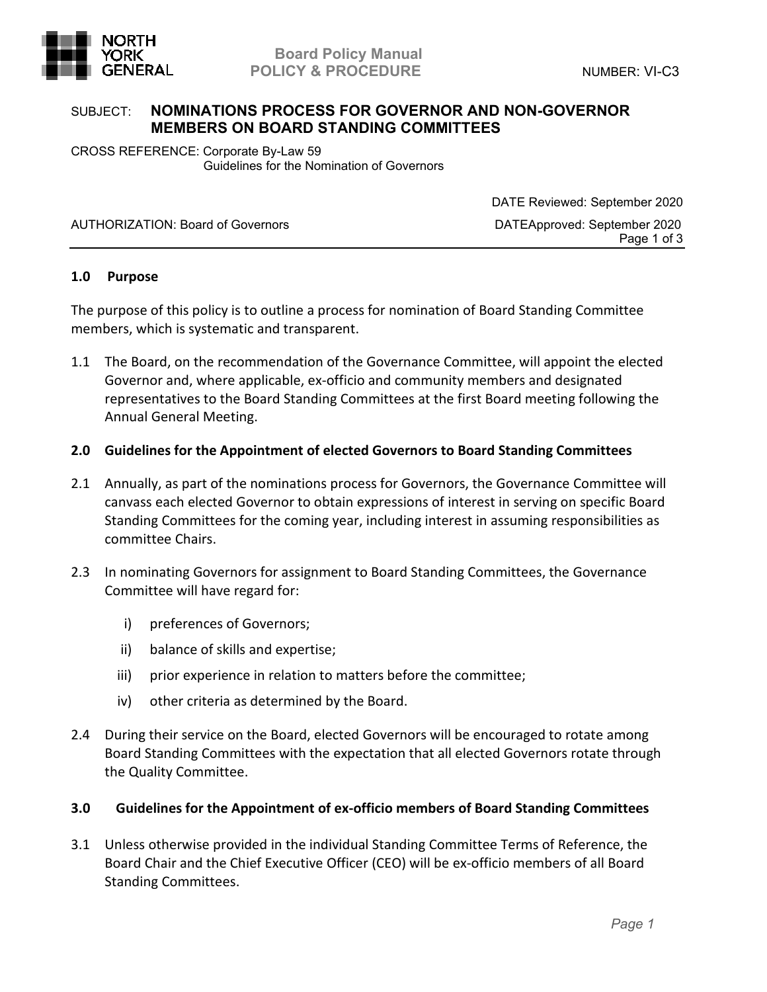

## **Board Policy Manual GENERAL** POLICY & PROCEDURE **And SENERAL** MUMBER: VI-C3

# SUBJECT: **NOMINATIONS PROCESS FOR GOVERNOR AND NON-GOVERNOR MEMBERS ON BOARD STANDING COMMITTEES**

CROSS REFERENCE: Corporate By-Law 59 Guidelines for the Nomination of Governors

AUTHORIZATION: Board of Governors DATEApproved: September 2020

 DATE Reviewed: September 2020 Page 1 of 3

## **1.0 Purpose**

The purpose of this policy is to outline a process for nomination of Board Standing Committee members, which is systematic and transparent.

- 1.1 The Board, on the recommendation of the Governance Committee, will appoint the elected Governor and, where applicable, ex-officio and community members and designated representatives to the Board Standing Committees at the first Board meeting following the Annual General Meeting.
- **2.0 Guidelines for the Appointment of elected Governors to Board Standing Committees**
- 2.1 Annually, as part of the nominations process for Governors, the Governance Committee will canvass each elected Governor to obtain expressions of interest in serving on specific Board Standing Committees for the coming year, including interest in assuming responsibilities as committee Chairs.
- 2.3 In nominating Governors for assignment to Board Standing Committees, the Governance Committee will have regard for:
	- i) preferences of Governors;
	- ii) balance of skills and expertise;
	- iii) prior experience in relation to matters before the committee;
	- iv) other criteria as determined by the Board.
- 2.4 During their service on the Board, elected Governors will be encouraged to rotate among Board Standing Committees with the expectation that all elected Governors rotate through the Quality Committee.

## **3.0 Guidelines for the Appointment of ex-officio members of Board Standing Committees**

3.1 Unless otherwise provided in the individual Standing Committee Terms of Reference, the Board Chair and the Chief Executive Officer (CEO) will be ex-officio members of all Board Standing Committees.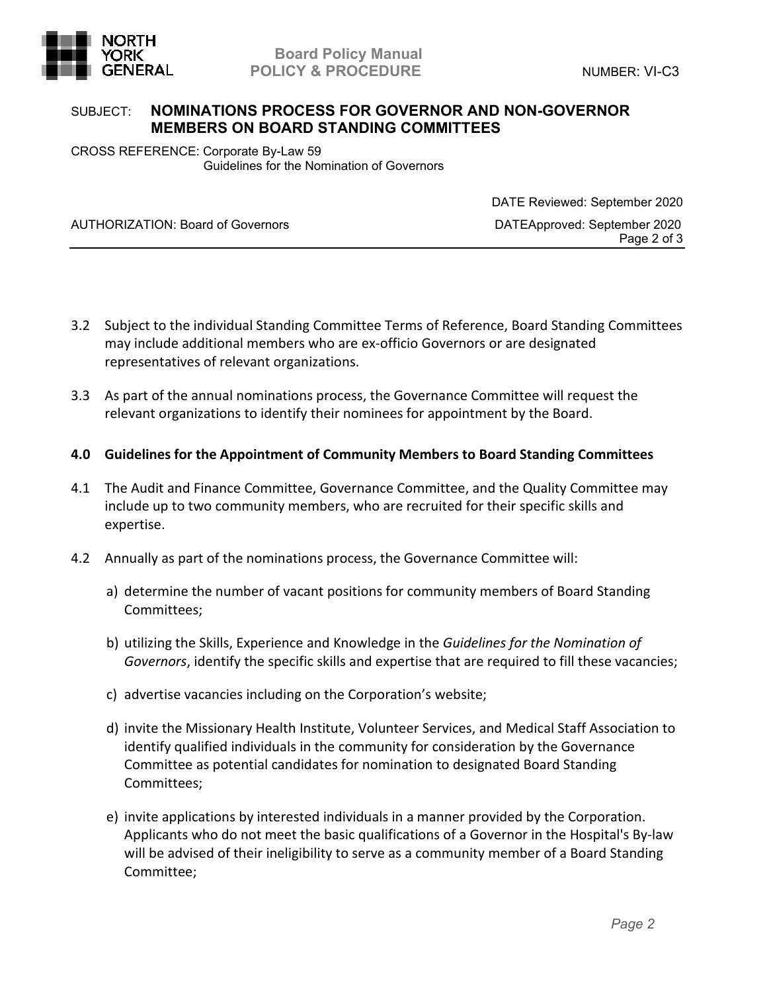

## **Board Policy Manual GENERAL** POLICY & PROCEDURE **And SENERAL** MUMBER: VI-C3

# SUBJECT: **NOMINATIONS PROCESS FOR GOVERNOR AND NON-GOVERNOR MEMBERS ON BOARD STANDING COMMITTEES**

CROSS REFERENCE: Corporate By-Law 59 Guidelines for the Nomination of Governors

AUTHORIZATION: Board of Governors DATEApproved: September 2020

 DATE Reviewed: September 2020 Page 2 of 3

- 3.2 Subject to the individual Standing Committee Terms of Reference, Board Standing Committees may include additional members who are ex-officio Governors or are designated representatives of relevant organizations.
- 3.3 As part of the annual nominations process, the Governance Committee will request the relevant organizations to identify their nominees for appointment by the Board.
- **4.0 Guidelines for the Appointment of Community Members to Board Standing Committees**
- 4.1 The Audit and Finance Committee, Governance Committee, and the Quality Committee may include up to two community members, who are recruited for their specific skills and expertise.
- 4.2 Annually as part of the nominations process, the Governance Committee will:
	- a) determine the number of vacant positions for community members of Board Standing Committees;
	- b) utilizing the Skills, Experience and Knowledge in the *Guidelines for the Nomination of Governors*, identify the specific skills and expertise that are required to fill these vacancies;
	- c) advertise vacancies including on the Corporation's website;
	- d) invite the Missionary Health Institute, Volunteer Services, and Medical Staff Association to identify qualified individuals in the community for consideration by the Governance Committee as potential candidates for nomination to designated Board Standing Committees;
	- e) invite applications by interested individuals in a manner provided by the Corporation. Applicants who do not meet the basic qualifications of a Governor in the Hospital's By-law will be advised of their ineligibility to serve as a community member of a Board Standing Committee;